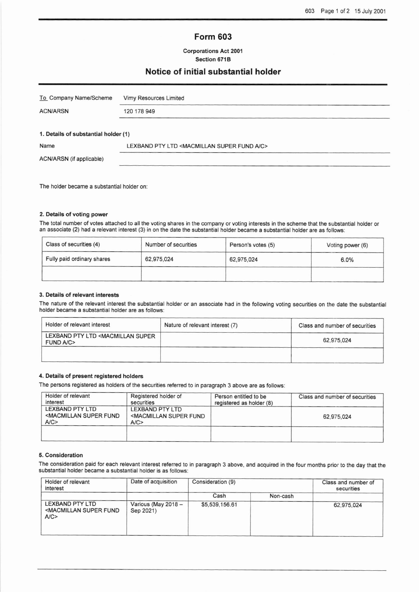# Form 603

## Corporations Act 2001 Section 6718

## Notice of initial substantial holder

| To Company Name/Scheme               | Vimy Resources Limited                                             |
|--------------------------------------|--------------------------------------------------------------------|
| <b>ACN/ARSN</b>                      | 120 178 949                                                        |
|                                      |                                                                    |
| 1. Details of substantial holder (1) |                                                                    |
| Name                                 | LEXBAND PTY LTD <macmillan a="" c="" fund="" super=""></macmillan> |
| ACN/ARSN (if applicable)             |                                                                    |
|                                      |                                                                    |

The holder became a substantial holder on

## 2. Details of voting power

The total number of voles attached to all the voting shares in the company or voting interests in the scheme that the substantiai holder or an associate (2) had a relevant interest (3) in on the date the substantial holder became a substantial holder are as follows:

| Class of securities (4)    | Number of securities | Person's votes (5) | Voting power (6) |
|----------------------------|----------------------|--------------------|------------------|
| Fully paid ordinary shares | 62,975,024           | 62,975,024         | 6.0%             |
|                            |                      |                    |                  |

## 3. Details of relevant interests

The nature of the relevant interest the substantial holder or an associate had in the following voting securities on the date the substantial holder became a substantial holder are as follows:

| Holder of relevant interest                                            | Nature of relevant interest (7) | Class and number of securities |
|------------------------------------------------------------------------|---------------------------------|--------------------------------|
| LEXBAND PTY LTD <macmillan super<br=""><b>FUND A/C&gt;</b></macmillan> |                                 | 62,975,024                     |
|                                                                        |                                 |                                |

## 4. Oetails of present registered holders

The persons registered as holders of the securities referred to in paragraph 3 above are as follows:

| Holder of relevant<br>interest                                    | Registered holder of<br>securities                                | Person entitled to be<br>registered as holder (8) | Class and number of securities |
|-------------------------------------------------------------------|-------------------------------------------------------------------|---------------------------------------------------|--------------------------------|
| LEXBAND PTY LTD<br><macmillan fund<br="" super="">A/C</macmillan> | LEXBAND PTY LTD<br><macmillan fund<br="" super="">A/C</macmillan> |                                                   | 62.975.024                     |
|                                                                   |                                                                   |                                                   |                                |

#### 5. Consideration

The consideration paid for each relevant interest refened to in paragraph 3 above, and acquired in the four months prior to the day that the substantial holder became a substantial holder is as follows:

| Holder of relevant<br>interest                                           | Date of acquisition              | Consideration (9) |          | Class and number of<br>securities |
|--------------------------------------------------------------------------|----------------------------------|-------------------|----------|-----------------------------------|
|                                                                          |                                  | Cash              | Non-cash |                                   |
| <b>LEXBAND PTY LTD</b><br><macmillan fund<br="" super="">A/C</macmillan> | Various (May 2018 -<br>Sep 2021) | \$5,539,156.61    |          | 62.975.024                        |